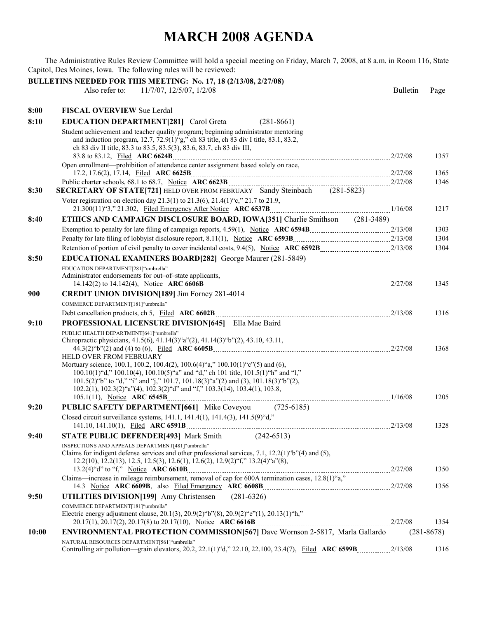## **MARCH 2008 AGENDA**

The Administrative Rules Review Committee will hold a special meeting on Friday, March 7, 2008, at 8 a.m. in Room 116, State Capitol, Des Moines, Iowa. The following rules will be reviewed:

|       | BULLETINS NEEDED FOR THIS MEETING: No. 17, 18 (2/13/08, 2/27/08)                                                                                                          |                 |                |
|-------|---------------------------------------------------------------------------------------------------------------------------------------------------------------------------|-----------------|----------------|
|       | Also refer to:<br>11/7/07, 12/5/07, 1/2/08                                                                                                                                | <b>Bulletin</b> | Page           |
| 8:00  | <b>FISCAL OVERVIEW Sue Lerdal</b>                                                                                                                                         |                 |                |
| 8:10  | <b>EDUCATION DEPARTMENT[281]</b> Carol Greta<br>$(281 - 8661)$                                                                                                            |                 |                |
|       | Student achievement and teacher quality program; beginning administrator mentoring                                                                                        |                 |                |
|       | and induction program, 12.7, 72.9(1)"g," ch 83 title, ch 83 div I title, 83.1, 83.2,                                                                                      |                 |                |
|       | ch 83 div II title, 83.3 to 83.5, 83.5(3), 83.6, 83.7, ch 83 div III,                                                                                                     |                 | 1357           |
|       | Open enrollment—prohibition of attendance center assignment based solely on race,                                                                                         |                 |                |
|       |                                                                                                                                                                           |                 | 1365           |
| 8:30  | <b>SECRETARY OF STATE[721]</b> HELD OVER FROM FEBRUARY Sandy Steinbach (281-5823)                                                                                         |                 | 1346           |
|       | Voter registration on election day 21.3(1) to 21.3(6), 21.4(1) "c," 21.7 to 21.9,                                                                                         |                 | 1217           |
| 8:40  | <b>ETHICS AND CAMPAIGN DISCLOSURE BOARD, IOWA[351]</b> Charlie Smithson (281-3489)                                                                                        |                 |                |
|       |                                                                                                                                                                           |                 | 1303           |
|       |                                                                                                                                                                           |                 | 1304           |
|       |                                                                                                                                                                           |                 | 1304           |
| 8:50  | <b>EDUCATIONAL EXAMINERS BOARD[282]</b> George Maurer (281-5849)                                                                                                          |                 |                |
|       | EDUCATION DEPARTMENT[281]"umbrella"<br>Administrator endorsements for out-of-state applicants,                                                                            |                 |                |
|       |                                                                                                                                                                           |                 | 1345           |
| 900   | CREDIT UNION DIVISION[189] Jim Forney 281-4014                                                                                                                            |                 |                |
|       | COMMERCE DEPARTMENT[181]"umbrella"                                                                                                                                        |                 |                |
|       |                                                                                                                                                                           |                 | 1316           |
| 9:10  | <b>PROFESSIONAL LICENSURE DIVISION[645]</b> Ella Mae Baird                                                                                                                |                 |                |
|       | PUBLIC HEALTH DEPARTMENT[641]"umbrella"                                                                                                                                   |                 |                |
|       | Chiropractic physicians, 41.5(6), 41.14(3)"a"(2), 41.14(3)"b"(2), 43.10, 43.11,                                                                                           |                 | 1368           |
|       | HELD OVER FROM FEBRUARY                                                                                                                                                   |                 |                |
|       | Mortuary science, 100.1, 100.2, 100.4(2), 100.6(4)"a," 100.10(1)"c"(5) and (6),                                                                                           |                 |                |
|       | 100.10(1)"d," 100.10(4), 100.10(5)"a" and "d," ch 101 title, 101.5(1)"h" and "l,"<br>101.5(2) "b" to "d," "i" and "j," 101.7, 101.18(3) "a"(2) and (3), 101.18(3) "b"(2), |                 |                |
|       | $102.2(1)$ , $102.3(2)$ "a" $(4)$ , $102.3(2)$ " $d$ " and "f," $103.3(14)$ , $103.4(1)$ , $103.8$ ,                                                                      |                 |                |
|       |                                                                                                                                                                           |                 | 1205           |
| 9:20  | <b>PUBLIC SAFETY DEPARTMENT[661]</b> Mike Coveyou (725-6185)                                                                                                              |                 |                |
|       | Closed circuit surveillance systems, 141.1, 141.4(1), 141.4(3), 141.5(9) "d,"                                                                                             |                 | 1328           |
| 9:40  | $(242 - 6513)$<br><b>STATE PUBLIC DEFENDER[493] Mark Smith</b>                                                                                                            |                 |                |
|       | INSPECTIONS AND APPEALS DEPARTMENT[481] "umbrella"                                                                                                                        |                 |                |
|       | Claims for indigent defense services and other professional services, 7.1, 12.2(1)"b"(4) and (5),                                                                         |                 |                |
|       | 12.2(10), 12.2(13), 12.5, 12.5(3), 12.6(1), 12.6(2), 12.9(2)"f," 13.2(4)"a"(8),                                                                                           |                 |                |
|       | Claims—increase in mileage reimbursement, removal of cap for 600A termination cases, 12.8(1) "a,"                                                                         |                 | 1350           |
|       |                                                                                                                                                                           |                 | 1356           |
| 9:50  | UTILITIES DIVISION[199] Amy Christensen<br>$(281-6326)$                                                                                                                   |                 |                |
|       | COMMERCE DEPARTMENT[181]"umbrella"                                                                                                                                        |                 |                |
|       | Electric energy adjustment clause, 20.1(3), 20.9(2) "b"(8), 20.9(2) "e"(1), 20.13(1) "h,"                                                                                 |                 | 1354           |
| 10:00 | <b>ENVIRONMENTAL PROTECTION COMMISSION 567 Dave Wornson 2-5817, Marla Gallardo</b>                                                                                        |                 | $(281 - 8678)$ |
|       | NATURAL RESOURCES DEPARTMENT[561]"umbrella"                                                                                                                               |                 |                |
|       |                                                                                                                                                                           |                 | 1316           |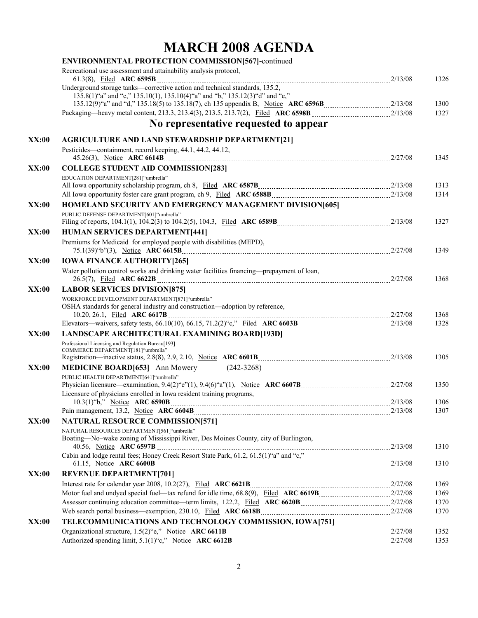## **MARCH 2008 AGENDA**

|              | <b>ENVIRONMENTAL PROTECTION COMMISSION[567]-continued</b>                                                                                                                                                                 |      |
|--------------|---------------------------------------------------------------------------------------------------------------------------------------------------------------------------------------------------------------------------|------|
|              | Recreational use assessment and attainability analysis protocol,                                                                                                                                                          | 1326 |
|              | Underground storage tanks—corrective action and technical standards, 135.2,<br>135.8(1) "a" and "c," 135.10(1), 135.10(4) "a" and "b," 135.12(3) "d" and "e,"                                                             | 1300 |
|              |                                                                                                                                                                                                                           | 1327 |
|              | No representative requested to appear                                                                                                                                                                                     |      |
| XX:00        | <b>AGRICULTURE AND LAND STEWARDSHIP DEPARTMENT[21]</b>                                                                                                                                                                    |      |
|              | Pesticides—containment, record keeping, 44.1, 44.2, 44.12,                                                                                                                                                                | 1345 |
| XX:00        | <b>COLLEGE STUDENT AID COMMISSION[283]</b>                                                                                                                                                                                |      |
|              | EDUCATION DEPARTMENT[281]"umbrella"                                                                                                                                                                                       |      |
|              |                                                                                                                                                                                                                           | 1313 |
|              |                                                                                                                                                                                                                           | 1314 |
| XX:00        | <b>HOMELAND SECURITY AND EMERGENCY MANAGEMENT DIVISION[605]</b>                                                                                                                                                           |      |
|              | PUBLIC DEFENSE DEPARTMENT[601] "umbrella"                                                                                                                                                                                 | 1327 |
| XX:00        | <b>HUMAN SERVICES DEPARTMENT[441]</b>                                                                                                                                                                                     |      |
|              | Premiums for Medicaid for employed people with disabilities (MEPD),                                                                                                                                                       | 1349 |
| XX:00        | <b>IOWA FINANCE AUTHORITY [265]</b>                                                                                                                                                                                       |      |
|              | Water pollution control works and drinking water facilities financing-prepayment of loan,                                                                                                                                 | 1368 |
| XX:00        | <b>LABOR SERVICES DIVISION [875]</b>                                                                                                                                                                                      |      |
|              | WORKFORCE DEVELOPMENT DEPARTMENT[871]"umbrella"                                                                                                                                                                           |      |
|              | OSHA standards for general industry and construction-adoption by reference,                                                                                                                                               | 1368 |
|              |                                                                                                                                                                                                                           | 1328 |
| XX:00        | <b>LANDSCAPE ARCHITECTURAL EXAMINING BOARD[193D]</b>                                                                                                                                                                      |      |
|              | Professional Licensing and Regulation Bureau[193]<br>COMMERCE DEPARTMENT[181]"umbrella"                                                                                                                                   | 1305 |
| XX:00        | $(242 - 3268)$<br><b>MEDICINE BOARD[653]</b> Ann Mowery                                                                                                                                                                   |      |
|              | PUBLIC HEALTH DEPARTMENT[641] "umbrella"                                                                                                                                                                                  |      |
|              |                                                                                                                                                                                                                           | 1350 |
|              | Licensure of physicians enrolled in Iowa resident training programs,                                                                                                                                                      |      |
|              |                                                                                                                                                                                                                           | 1306 |
|              |                                                                                                                                                                                                                           | 1307 |
| <b>XX:00</b> | <b>NATURAL RESOURCE COMMISSION[571]</b>                                                                                                                                                                                   |      |
|              | NATURAL RESOURCES DEPARTMENT[561]"umbrella"                                                                                                                                                                               |      |
|              | Boating—No-wake zoning of Mississippi River, Des Moines County, city of Burlington,<br>40.56, Notice ARC 6597B $\ldots$ 2/13/08<br>Cabin and lodge rental fees; Honey Creek Resort State Park, 61.2, 61.5(1) "a" and "c," | 1310 |
|              |                                                                                                                                                                                                                           | 1310 |
| <b>XX:00</b> | <b>REVENUE DEPARTMENT[701]</b>                                                                                                                                                                                            |      |
|              |                                                                                                                                                                                                                           | 1369 |
|              |                                                                                                                                                                                                                           | 1369 |
|              |                                                                                                                                                                                                                           | 1370 |
|              |                                                                                                                                                                                                                           | 1370 |
| <b>XX:00</b> | TELECOMMUNICATIONS AND TECHNOLOGY COMMISSION, IOWA[751]                                                                                                                                                                   |      |
|              |                                                                                                                                                                                                                           | 1352 |
|              | Authorized spending limit, 5.1(1) "c," Notice ARC 6612B [11] [2010] Authorized spending limit, 5.1(1) "c," Notice ARC 6612B                                                                                               | 1353 |